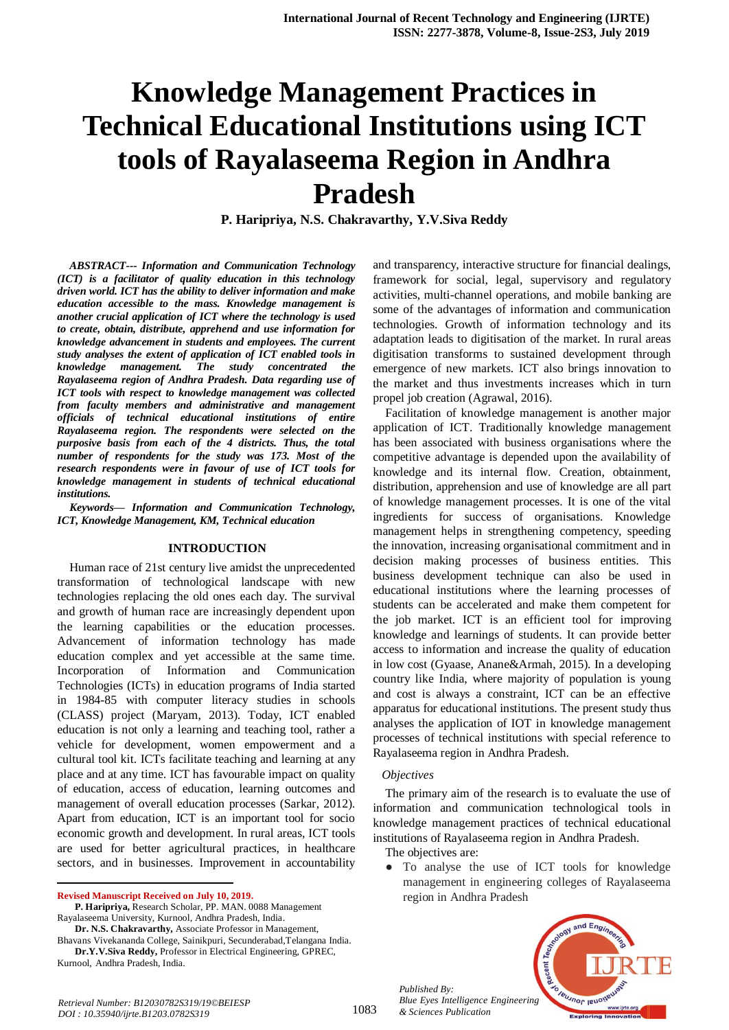# **Knowledge Management Practices in Technical Educational Institutions using ICT tools of Rayalaseema Region in Andhra Pradesh**

**P. Haripriya, N.S. Chakravarthy, Y.V.Siva Reddy**

*ABSTRACT--- Information and Communication Technology (ICT) is a facilitator of quality education in this technology driven world. ICT has the ability to deliver information and make education accessible to the mass. Knowledge management is another crucial application of ICT where the technology is used to create, obtain, distribute, apprehend and use information for knowledge advancement in students and employees. The current study analyses the extent of application of ICT enabled tools in knowledge management. The study concentrated the Rayalaseema region of Andhra Pradesh. Data regarding use of ICT tools with respect to knowledge management was collected from faculty members and administrative and management officials of technical educational institutions of entire Rayalaseema region. The respondents were selected on the purposive basis from each of the 4 districts. Thus, the total number of respondents for the study was 173. Most of the research respondents were in favour of use of ICT tools for knowledge management in students of technical educational institutions.* 

*Keywords— Information and Communication Technology, ICT, Knowledge Management, KM, Technical education*

## **INTRODUCTION**

Human race of 21st century live amidst the unprecedented transformation of technological landscape with new technologies replacing the old ones each day. The survival and growth of human race are increasingly dependent upon the learning capabilities or the education processes. Advancement of information technology has made education complex and yet accessible at the same time. Incorporation of Information and Communication Technologies (ICTs) in education programs of India started in 1984-85 with computer literacy studies in schools (CLASS) project (Maryam, 2013). Today, ICT enabled education is not only a learning and teaching tool, rather a vehicle for development, women empowerment and a cultural tool kit. ICTs facilitate teaching and learning at any place and at any time. ICT has favourable impact on quality of education, access of education, learning outcomes and management of overall education processes (Sarkar, 2012). Apart from education, ICT is an important tool for socio economic growth and development. In rural areas, ICT tools are used for better agricultural practices, in healthcare sectors, and in businesses. Improvement in accountability

**Revised Manuscript Received on July 10, 2019.**

 $\overline{a}$ 

**Dr. N.S. Chakravarthy,** Associate Professor in Management,

Bhavans Vivekananda College, Sainikpuri, Secunderabad,Telangana India. **Dr.Y.V.Siva Reddy,** Professor in Electrical Engineering, GPREC, Kurnool, Andhra Pradesh, India.

and transparency, interactive structure for financial dealings, framework for social, legal, supervisory and regulatory activities, multi-channel operations, and mobile banking are some of the advantages of information and communication technologies. Growth of information technology and its adaptation leads to digitisation of the market. In rural areas digitisation transforms to sustained development through emergence of new markets. ICT also brings innovation to the market and thus investments increases which in turn propel job creation (Agrawal, 2016).

Facilitation of knowledge management is another major application of ICT. Traditionally knowledge management has been associated with business organisations where the competitive advantage is depended upon the availability of knowledge and its internal flow. Creation, obtainment, distribution, apprehension and use of knowledge are all part of knowledge management processes. It is one of the vital ingredients for success of organisations. Knowledge management helps in strengthening competency, speeding the innovation, increasing organisational commitment and in decision making processes of business entities. This business development technique can also be used in educational institutions where the learning processes of students can be accelerated and make them competent for the job market. ICT is an efficient tool for improving knowledge and learnings of students. It can provide better access to information and increase the quality of education in low cost (Gyaase, Anane&Armah, 2015). In a developing country like India, where majority of population is young and cost is always a constraint, ICT can be an effective apparatus for educational institutions. The present study thus analyses the application of IOT in knowledge management processes of technical institutions with special reference to Rayalaseema region in Andhra Pradesh.

#### *Objectives*

The primary aim of the research is to evaluate the use of information and communication technological tools in knowledge management practices of technical educational institutions of Rayalaseema region in Andhra Pradesh.

The objectives are:

● To analyse the use of ICT tools for knowledge management in engineering colleges of Rayalaseema region in Andhra Pradesh

*Published By: Blue Eyes Intelligence Engineering & Sciences Publication* 



**P. Haripriya,** Research Scholar, PP. MAN. 0088 Management Rayalaseema University, Kurnool, Andhra Pradesh, India.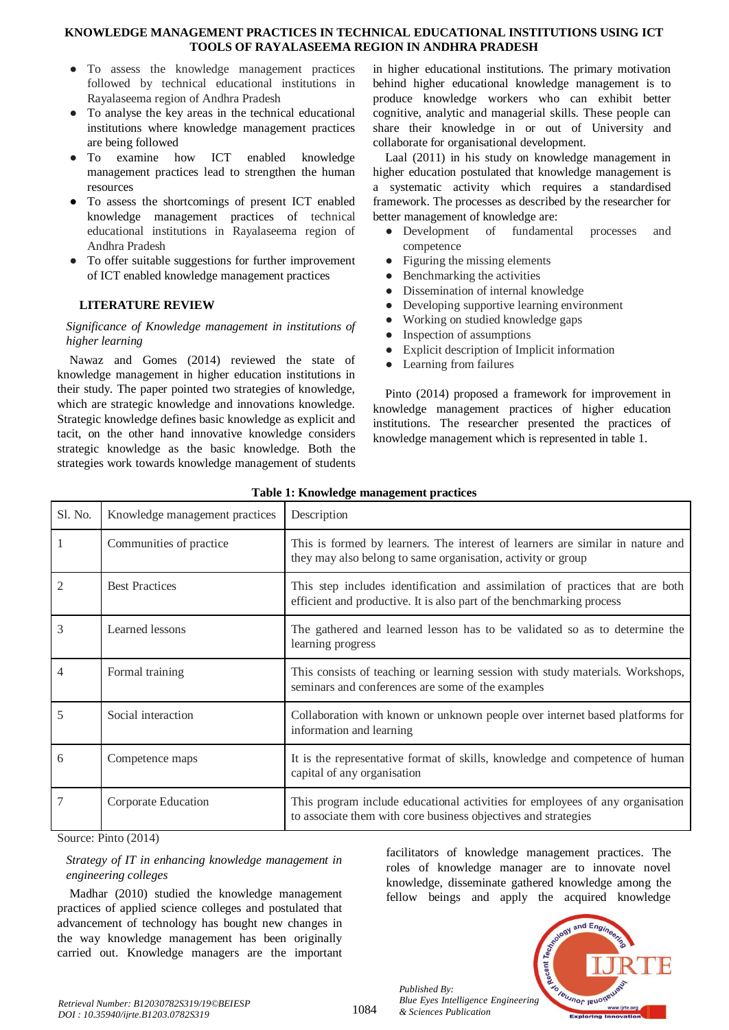- To assess the knowledge management practices followed by technical educational institutions in Rayalaseema region of Andhra Pradesh
- To analyse the key areas in the technical educational institutions where knowledge management practices are being followed
- To examine how ICT enabled knowledge management practices lead to strengthen the human resources
- To assess the shortcomings of present ICT enabled knowledge management practices of technical educational institutions in Rayalaseema region of Andhra Pradesh
- To offer suitable suggestions for further improvement of ICT enabled knowledge management practices

# **LITERATURE REVIEW**

## *Significance of Knowledge management in institutions of higher learning*

Nawaz and Gomes (2014) reviewed the state of knowledge management in higher education institutions in their study. The paper pointed two strategies of knowledge, which are strategic knowledge and innovations knowledge. Strategic knowledge defines basic knowledge as explicit and tacit, on the other hand innovative knowledge considers strategic knowledge as the basic knowledge. Both the strategies work towards knowledge management of students

in higher educational institutions. The primary motivation behind higher educational knowledge management is to produce knowledge workers who can exhibit better cognitive, analytic and managerial skills. These people can share their knowledge in or out of University and collaborate for organisational development.

Laal (2011) in his study on knowledge management in higher education postulated that knowledge management is a systematic activity which requires a standardised framework. The processes as described by the researcher for better management of knowledge are:

- Development of fundamental processes and competence
- Figuring the missing elements
- Benchmarking the activities
- Dissemination of internal knowledge
- Developing supportive learning environment
- Working on studied knowledge gaps
- Inspection of assumptions
- Explicit description of Implicit information
- Learning from failures

Pinto (2014) proposed a framework for improvement in knowledge management practices of higher education institutions. The researcher presented the practices of knowledge management which is represented in table 1.

| Sl. No. | Knowledge management practices | Description                                                                                                                                            |
|---------|--------------------------------|--------------------------------------------------------------------------------------------------------------------------------------------------------|
|         | Communities of practice        | This is formed by learners. The interest of learners are similar in nature and<br>they may also belong to same organisation, activity or group         |
|         | <b>Best Practices</b>          | This step includes identification and assimilation of practices that are both<br>efficient and productive. It is also part of the benchmarking process |
| 3       | Learned lessons                | The gathered and learned lesson has to be validated so as to determine the<br>learning progress                                                        |
| 4       | Formal training                | This consists of teaching or learning session with study materials. Workshops,<br>seminars and conferences are some of the examples                    |
| 5       | Social interaction             | Collaboration with known or unknown people over internet based platforms for<br>information and learning                                               |
| 6       | Competence maps                | It is the representative format of skills, knowledge and competence of human<br>capital of any organisation                                            |
|         | Corporate Education            | This program include educational activities for employees of any organisation<br>to associate them with core business objectives and strategies        |

## **Table 1: Knowledge management practices**

Source: Pinto (2014)

# *Strategy of IT in enhancing knowledge management in engineering colleges*

Madhar (2010) studied the knowledge management practices of applied science colleges and postulated that advancement of technology has bought new changes in the way knowledge management has been originally carried out. Knowledge managers are the important facilitators of knowledge management practices. The roles of knowledge manager are to innovate novel knowledge, disseminate gathered knowledge among the fellow beings and apply the acquired knowledge

*Published By: Blue Eyes Intelligence Engineering & Sciences Publication* 



1084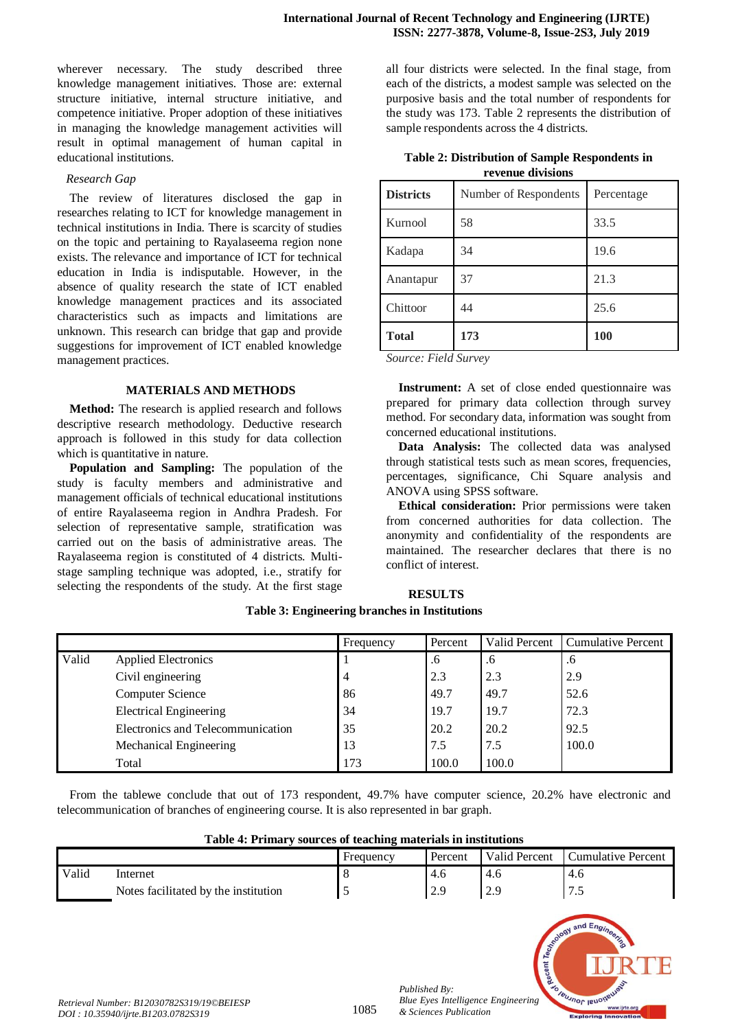wherever necessary. The study described three knowledge management initiatives. Those are: external structure initiative, internal structure initiative, and competence initiative. Proper adoption of these initiatives in managing the knowledge management activities will result in optimal management of human capital in educational institutions.

## *Research Gap*

The review of literatures disclosed the gap in researches relating to ICT for knowledge management in technical institutions in India. There is scarcity of studies on the topic and pertaining to Rayalaseema region none exists. The relevance and importance of ICT for technical education in India is indisputable. However, in the absence of quality research the state of ICT enabled knowledge management practices and its associated characteristics such as impacts and limitations are unknown. This research can bridge that gap and provide suggestions for improvement of ICT enabled knowledge management practices.

## **MATERIALS AND METHODS**

**Method:** The research is applied research and follows descriptive research methodology. Deductive research approach is followed in this study for data collection which is quantitative in nature.

**Population and Sampling:** The population of the study is faculty members and administrative and management officials of technical educational institutions of entire Rayalaseema region in Andhra Pradesh. For selection of representative sample, stratification was carried out on the basis of administrative areas. The Rayalaseema region is constituted of 4 districts. Multistage sampling technique was adopted, i.e., stratify for selecting the respondents of the study. At the first stage

all four districts were selected. In the final stage, from each of the districts, a modest sample was selected on the purposive basis and the total number of respondents for the study was 173. Table 2 represents the distribution of sample respondents across the 4 districts.

| Table 2: Distribution of Sample Respondents in |
|------------------------------------------------|
| revenue divisions                              |

| <b>Districts</b> | Number of Respondents | Percentage |
|------------------|-----------------------|------------|
| Kurnool          | 58                    | 33.5       |
| Kadapa           | 34                    | 19.6       |
| Anantapur        | 37                    | 21.3       |
| Chittoor         | 44                    | 25.6       |
| <b>Total</b>     | 173                   | 100        |

*Source: Field Survey*

**RESULTS**

**Instrument:** A set of close ended questionnaire was prepared for primary data collection through survey method. For secondary data, information was sought from concerned educational institutions.

**Data Analysis:** The collected data was analysed through statistical tests such as mean scores, frequencies, percentages, significance, Chi Square analysis and ANOVA using SPSS software.

**Ethical consideration:** Prior permissions were taken from concerned authorities for data collection. The anonymity and confidentiality of the respondents are maintained. The researcher declares that there is no conflict of interest.

|       |                                   | Frequency | Percent | Valid Percent | <b>Cumulative Percent</b> |
|-------|-----------------------------------|-----------|---------|---------------|---------------------------|
| Valid | <b>Applied Electronics</b>        |           | .6      | .6            | .6                        |
|       | Civil engineering                 | 4         | 2.3     | 2.3           | 2.9                       |
|       | <b>Computer Science</b>           | 86        | 49.7    | 49.7          | 52.6                      |
|       | <b>Electrical Engineering</b>     | 34        | 19.7    | 19.7          | 72.3                      |
|       | Electronics and Telecommunication | 35        | 20.2    | 20.2          | 92.5                      |
|       | Mechanical Engineering            | 13        | 7.5     | 7.5           | 100.0                     |
|       | Total                             | 173       | 100.0   | 100.0         |                           |

**Table 3: Engineering branches in Institutions**

From the tablewe conclude that out of 173 respondent, 49.7% have computer science, 20.2% have electronic and telecommunication of branches of engineering course. It is also represented in bar graph.

|  | Table 4: Primary sources of teaching materials in institutions |  |  |  |
|--|----------------------------------------------------------------|--|--|--|
|--|----------------------------------------------------------------|--|--|--|

|       |                                      | Frequency | Percent | <b>Valid Percent</b> | Cumulative Percent   |
|-------|--------------------------------------|-----------|---------|----------------------|----------------------|
| Valid | Internet                             |           | 4.0     | -4.6                 | $-4.6$               |
|       | Notes facilitated by the institution |           | 2.9     | $\Omega$<br><u>.</u> | $\mathbf{r}$<br>ر. ، |



*Published By:*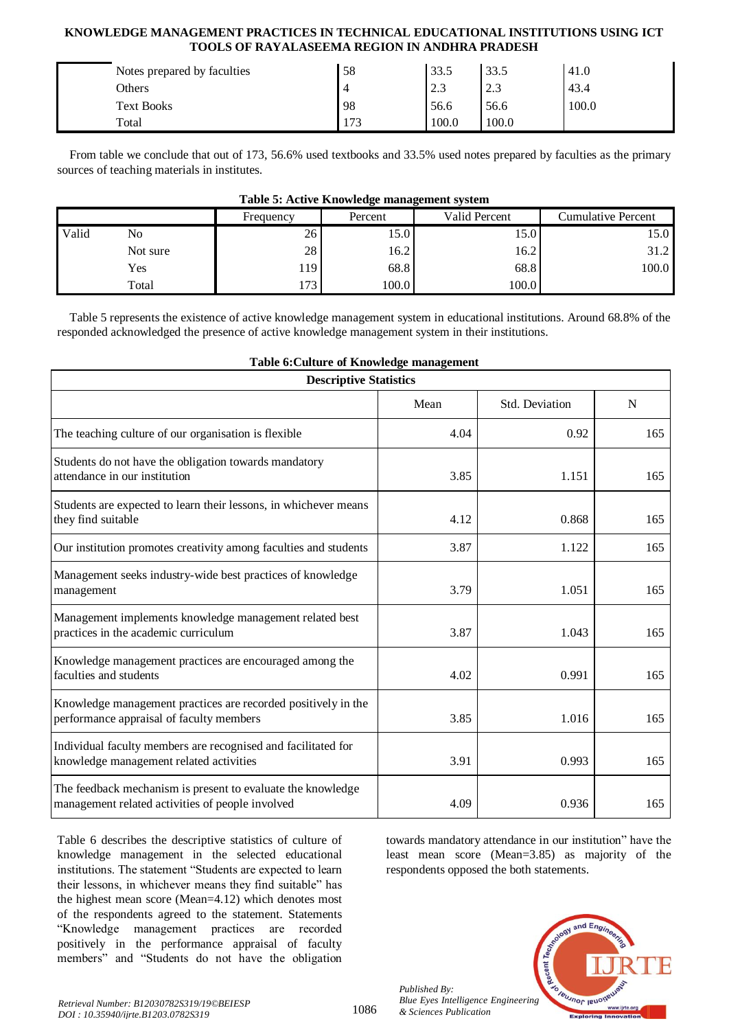| Notes prepared by faculties | 58  | 33.5  | 33.5  | 41.0  |
|-----------------------------|-----|-------|-------|-------|
| Others                      |     | 2.3   | ل و ک | 43.4  |
| <b>Text Books</b>           | 98  | 56.6  | 56.6  | 100.0 |
| Total                       | 173 | 100.0 | 100.0 |       |

From table we conclude that out of 173, 56.6% used textbooks and 33.5% used notes prepared by faculties as the primary sources of teaching materials in institutes.

|       |          | Frequency | .<br>Percent | Valid Percent | <b>Cumulative Percent</b> |
|-------|----------|-----------|--------------|---------------|---------------------------|
| Valid | No       | 26        | 15.0         | 15.0          | 15.0                      |
|       | Not sure | 28        | 16.2         | 16.2          | 31.2                      |
|       | Yes      | 119       | 68.8         | 68.8          | 100.0                     |
|       | Total    | 173       | 100.0        | 100.0         |                           |

## **Table 5: Active Knowledge management system**

Table 5 represents the existence of active knowledge management system in educational institutions. Around 68.8% of the responded acknowledged the presence of active knowledge management system in their institutions.

| <b>Descriptive Statistics</b>                                                                                   |      |                |             |  |  |
|-----------------------------------------------------------------------------------------------------------------|------|----------------|-------------|--|--|
|                                                                                                                 | Mean | Std. Deviation | $\mathbf N$ |  |  |
| The teaching culture of our organisation is flexible                                                            | 4.04 | 0.92           | 165         |  |  |
| Students do not have the obligation towards mandatory<br>attendance in our institution                          | 3.85 | 1.151          | 165         |  |  |
| Students are expected to learn their lessons, in whichever means<br>they find suitable                          | 4.12 | 0.868          | 165         |  |  |
| Our institution promotes creativity among faculties and students                                                | 3.87 | 1.122          | 165         |  |  |
| Management seeks industry-wide best practices of knowledge<br>management                                        | 3.79 | 1.051          | 165         |  |  |
| Management implements knowledge management related best<br>practices in the academic curriculum                 | 3.87 | 1.043          | 165         |  |  |
| Knowledge management practices are encouraged among the<br>faculties and students                               | 4.02 | 0.991          | 165         |  |  |
| Knowledge management practices are recorded positively in the<br>performance appraisal of faculty members       | 3.85 | 1.016          | 165         |  |  |
| Individual faculty members are recognised and facilitated for<br>knowledge management related activities        | 3.91 | 0.993          | 165         |  |  |
| The feedback mechanism is present to evaluate the knowledge<br>management related activities of people involved | 4.09 | 0.936          | 165         |  |  |

**Table 6:Culture of Knowledge management**

Table 6 describes the descriptive statistics of culture of knowledge management in the selected educational institutions. The statement "Students are expected to learn their lessons, in whichever means they find suitable" has the highest mean score (Mean=4.12) which denotes most of the respondents agreed to the statement. Statements "Knowledge management practices are recorded positively in the performance appraisal of faculty members" and "Students do not have the obligation

towards mandatory attendance in our institution" have the least mean score (Mean=3.85) as majority of the respondents opposed the both statements.



*Published By:*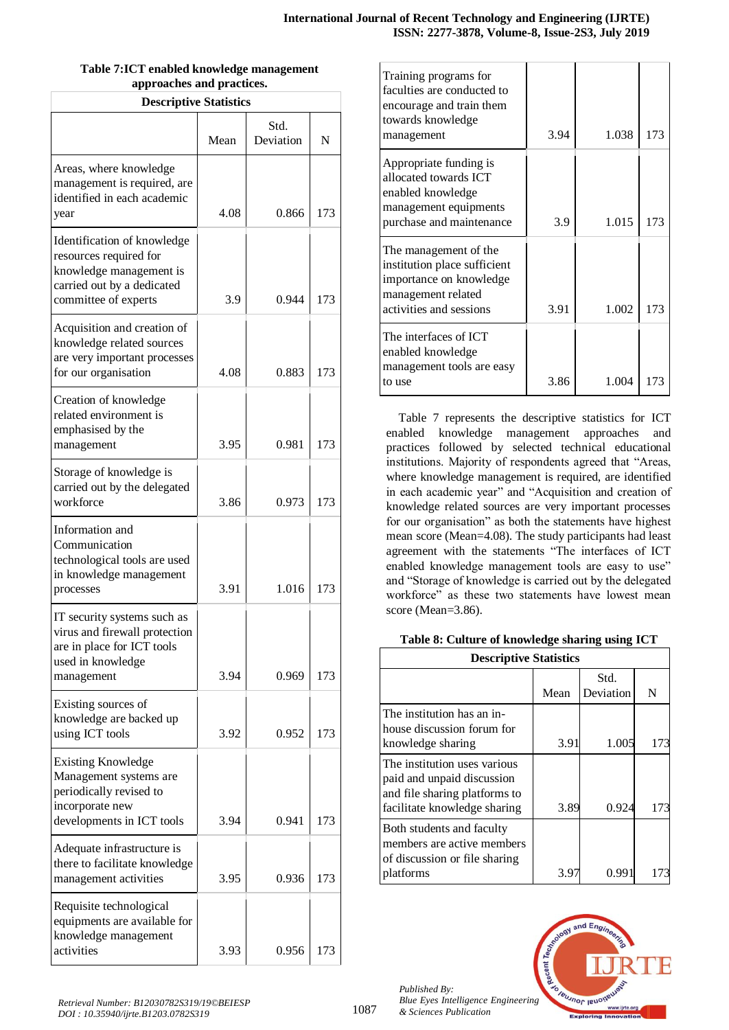| <b>Descriptive Statistics</b>                                                                                                          |      |                   |     |  |  |
|----------------------------------------------------------------------------------------------------------------------------------------|------|-------------------|-----|--|--|
|                                                                                                                                        | Mean | Std.<br>Deviation | N   |  |  |
| Areas, where knowledge<br>management is required, are<br>identified in each academic<br>year                                           | 4.08 | 0.866             | 173 |  |  |
| Identification of knowledge<br>resources required for<br>knowledge management is<br>carried out by a dedicated<br>committee of experts | 3.9  | 0.944             | 173 |  |  |
| Acquisition and creation of<br>knowledge related sources<br>are very important processes<br>for our organisation                       | 4.08 | 0.883             | 173 |  |  |
| Creation of knowledge<br>related environment is<br>emphasised by the<br>management                                                     | 3.95 | 0.981             | 173 |  |  |
| Storage of knowledge is<br>carried out by the delegated<br>workforce                                                                   | 3.86 | 0.973             | 173 |  |  |
| Information and<br>Communication<br>technological tools are used<br>in knowledge management<br>processes                               | 3.91 | 1.016             | 173 |  |  |
| IT security systems such as<br>virus and firewall protection<br>are in place for ICT tools<br>used in knowledge<br>management          | 3.94 | 0.969             | 173 |  |  |
| Existing sources of<br>knowledge are backed up<br>using ICT tools                                                                      | 3.92 | 0.952             | 173 |  |  |
| <b>Existing Knowledge</b><br>Management systems are<br>periodically revised to<br>incorporate new<br>developments in ICT tools         | 3.94 | 0.941             | 173 |  |  |
| Adequate infrastructure is<br>there to facilitate knowledge<br>management activities                                                   | 3.95 | 0.936             | 173 |  |  |
| Requisite technological<br>equipments are available for<br>knowledge management<br>activities                                          | 3.93 | 0.956             | 173 |  |  |

|                           | Table 7:ICT enabled knowledge management |
|---------------------------|------------------------------------------|
| approaches and practices. |                                          |

| Training programs for<br>faculties are conducted to<br>encourage and train them<br>towards knowledge<br>management                | 3.94 | 1.038 | 173 |
|-----------------------------------------------------------------------------------------------------------------------------------|------|-------|-----|
| Appropriate funding is<br>allocated towards ICT<br>enabled knowledge<br>management equipments<br>purchase and maintenance         | 3.9  | 1.015 | 173 |
| The management of the<br>institution place sufficient<br>importance on knowledge<br>management related<br>activities and sessions | 3.91 | 1.002 | 173 |
| The interfaces of ICT<br>enabled knowledge<br>management tools are easy<br>to use                                                 | 3.86 | 1.004 | 173 |

Table 7 represents the descriptive statistics for ICT enabled knowledge management approaches and practices followed by selected technical educational institutions. Majority of respondents agreed that "Areas, where knowledge management is required, are identified in each academic year" and "Acquisition and creation of knowledge related sources are very important processes for our organisation" as both the statements have highest mean score (Mean=4.08). The study participants had least agreement with the statements "The interfaces of ICT enabled knowledge management tools are easy to use" and "Storage of knowledge is carried out by the delegated workforce" as these two statements have lowest mean score (Mean=3.86).

## **Table 8: Culture of knowledge sharing using ICT**

| <b>Descriptive Statistics</b>                                                                                               |      |                   |     |
|-----------------------------------------------------------------------------------------------------------------------------|------|-------------------|-----|
|                                                                                                                             | Mean | Std.<br>Deviation | N   |
| The institution has an in-<br>house discussion forum for<br>knowledge sharing                                               | 3.91 | 1.005             | 173 |
| The institution uses various<br>paid and unpaid discussion<br>and file sharing platforms to<br>facilitate knowledge sharing | 3.89 | 0.924             | 173 |
| Both students and faculty<br>members are active members<br>of discussion or file sharing<br>platforms                       |      | 0.99              |     |

*Published By: Blue Eyes Intelligence Engineering & Sciences Publication* 

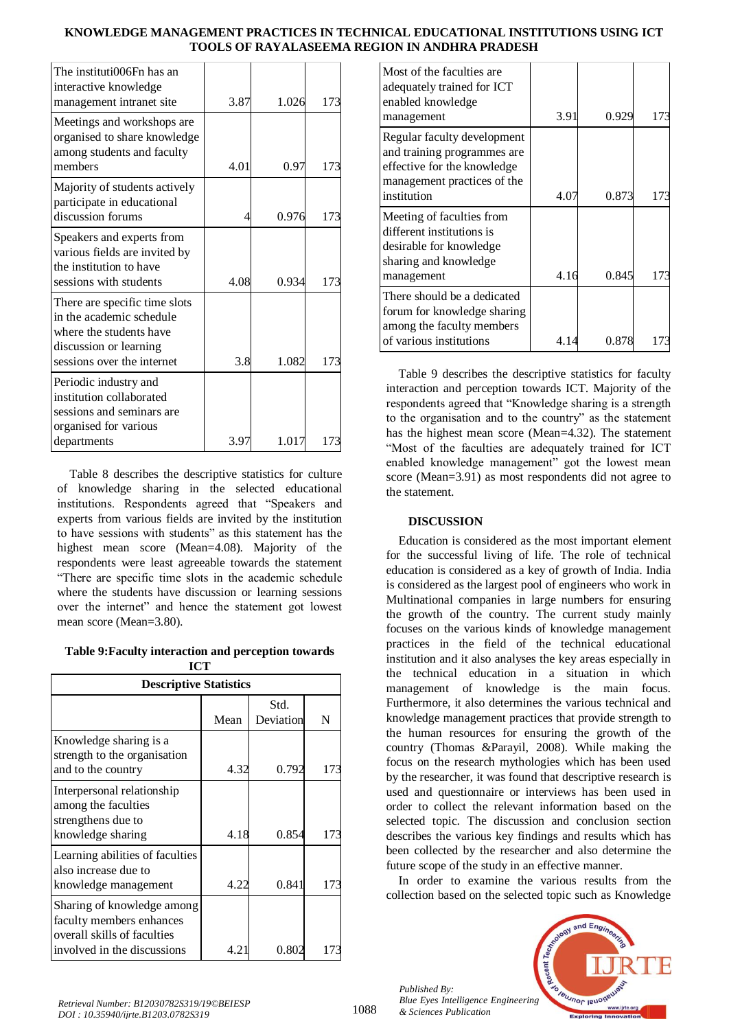| The instituti006Fn has an<br>interactive knowledge                                                             |      |       |     |
|----------------------------------------------------------------------------------------------------------------|------|-------|-----|
| management intranet site                                                                                       | 3.87 | 1.026 | 173 |
| Meetings and workshops are<br>organised to share knowledge<br>among students and faculty                       |      |       |     |
| members                                                                                                        | 4.01 | 0.97  | 173 |
| Majority of students actively<br>participate in educational                                                    |      |       |     |
| discussion forums                                                                                              | Δ    | 0.976 | 173 |
| Speakers and experts from<br>various fields are invited by<br>the institution to have                          |      |       |     |
| sessions with students                                                                                         | 4.08 | 0.934 | 173 |
| There are specific time slots<br>in the academic schedule<br>where the students have<br>discussion or learning |      |       |     |
| sessions over the internet                                                                                     | 3.8  | 1.082 | 173 |
| Periodic industry and<br>institution collaborated<br>sessions and seminars are<br>organised for various        |      |       |     |
| departments                                                                                                    | 3.97 | 1.017 |     |

Table 8 describes the descriptive statistics for culture of knowledge sharing in the selected educational institutions. Respondents agreed that "Speakers and experts from various fields are invited by the institution to have sessions with students" as this statement has the highest mean score (Mean=4.08). Majority of the respondents were least agreeable towards the statement "There are specific time slots in the academic schedule where the students have discussion or learning sessions over the internet" and hence the statement got lowest mean score (Mean=3.80).

**Table 9:Faculty interaction and perception towards**   $ICT$ 

| <b>Descriptive Statistics</b>                                                                                        |      |                   |     |  |
|----------------------------------------------------------------------------------------------------------------------|------|-------------------|-----|--|
|                                                                                                                      | Mean | Std.<br>Deviation | N   |  |
| Knowledge sharing is a<br>strength to the organisation<br>and to the country                                         | 4.32 | 0.792             | 173 |  |
| Interpersonal relationship<br>among the faculties<br>strengthens due to<br>knowledge sharing                         | 4.18 | 0.854             | 173 |  |
| Learning abilities of faculties<br>also increase due to<br>knowledge management                                      | 4.22 | 0.841             | 173 |  |
| Sharing of knowledge among<br>faculty members enhances<br>overall skills of faculties<br>involved in the discussions | 4.21 | 0.802             |     |  |

| Most of the faculties are.<br>adequately trained for ICT<br>enabled knowledge<br>management                               | 3.91 | 0.929 | 173 |
|---------------------------------------------------------------------------------------------------------------------------|------|-------|-----|
| Regular faculty development<br>and training programmes are.<br>effective for the knowledge<br>management practices of the |      |       |     |
| institution                                                                                                               | 4.07 | 0.873 | 173 |
| Meeting of faculties from<br>different institutions is<br>desirable for knowledge<br>sharing and knowledge                |      |       |     |
| management                                                                                                                | 4.16 | 0.845 | 173 |
| There should be a dedicated<br>forum for knowledge sharing<br>among the faculty members                                   |      |       |     |
| of various institutions                                                                                                   | 4.14 | 0.878 |     |

Table 9 describes the descriptive statistics for faculty interaction and perception towards ICT. Majority of the respondents agreed that "Knowledge sharing is a strength to the organisation and to the country" as the statement has the highest mean score (Mean=4.32). The statement "Most of the faculties are adequately trained for ICT enabled knowledge management" got the lowest mean score (Mean=3.91) as most respondents did not agree to the statement.

# **DISCUSSION**

Education is considered as the most important element for the successful living of life. The role of technical education is considered as a key of growth of India. India is considered as the largest pool of engineers who work in Multinational companies in large numbers for ensuring the growth of the country. The current study mainly focuses on the various kinds of knowledge management practices in the field of the technical educational institution and it also analyses the key areas especially in the technical education in a situation in which management of knowledge is the main focus. Furthermore, it also determines the various technical and knowledge management practices that provide strength to the human resources for ensuring the growth of the country (Thomas &Parayil, 2008). While making the focus on the research mythologies which has been used by the researcher, it was found that descriptive research is used and questionnaire or interviews has been used in order to collect the relevant information based on the selected topic. The discussion and conclusion section describes the various key findings and results which has been collected by the researcher and also determine the future scope of the study in an effective manner.

In order to examine the various results from the collection based on the selected topic such as Knowledge



*Published By: Blue Eyes Intelligence Engineering & Sciences Publication* 

1088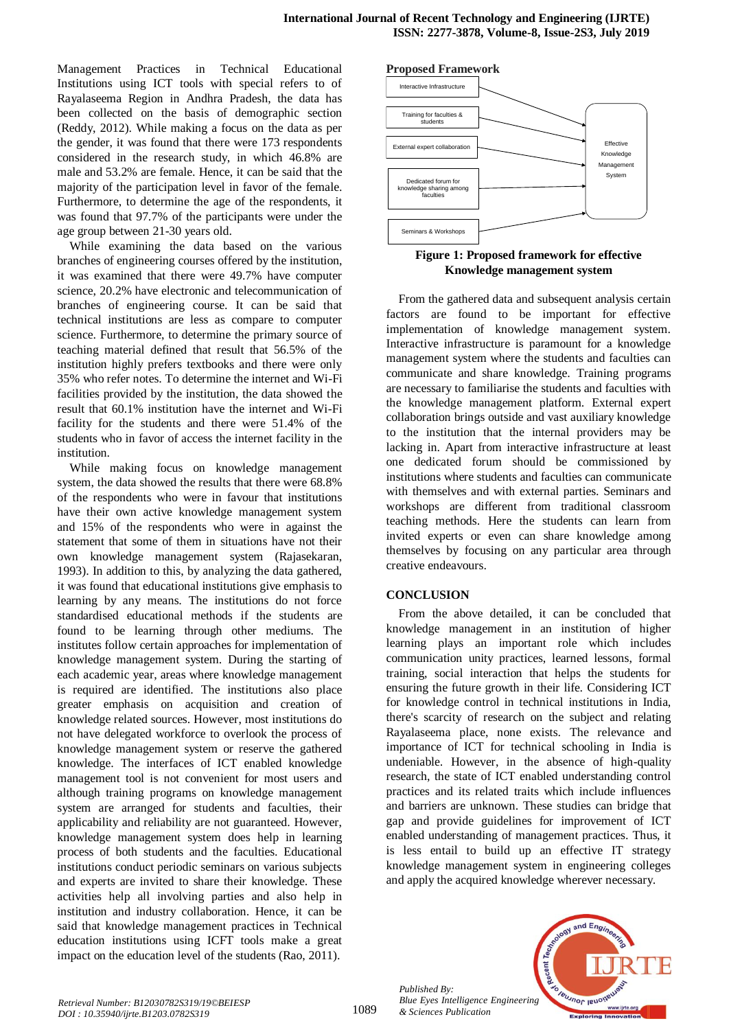Management Practices in Technical Educational Institutions using ICT tools with special refers to of Rayalaseema Region in Andhra Pradesh, the data has been collected on the basis of demographic section (Reddy, 2012). While making a focus on the data as per the gender, it was found that there were 173 respondents considered in the research study, in which 46.8% are male and 53.2% are female. Hence, it can be said that the majority of the participation level in favor of the female. Furthermore, to determine the age of the respondents, it was found that 97.7% of the participants were under the age group between 21-30 years old.

While examining the data based on the various branches of engineering courses offered by the institution, it was examined that there were 49.7% have computer science, 20.2% have electronic and telecommunication of branches of engineering course. It can be said that technical institutions are less as compare to computer science. Furthermore, to determine the primary source of teaching material defined that result that 56.5% of the institution highly prefers textbooks and there were only 35% who refer notes. To determine the internet and Wi-Fi facilities provided by the institution, the data showed the result that 60.1% institution have the internet and Wi-Fi facility for the students and there were 51.4% of the students who in favor of access the internet facility in the institution.

While making focus on knowledge management system, the data showed the results that there were 68.8% of the respondents who were in favour that institutions have their own active knowledge management system and 15% of the respondents who were in against the statement that some of them in situations have not their own knowledge management system (Rajasekaran, 1993). In addition to this, by analyzing the data gathered, it was found that educational institutions give emphasis to learning by any means. The institutions do not force standardised educational methods if the students are found to be learning through other mediums. The institutes follow certain approaches for implementation of knowledge management system. During the starting of each academic year, areas where knowledge management is required are identified. The institutions also place greater emphasis on acquisition and creation of knowledge related sources. However, most institutions do not have delegated workforce to overlook the process of knowledge management system or reserve the gathered knowledge. The interfaces of ICT enabled knowledge management tool is not convenient for most users and although training programs on knowledge management system are arranged for students and faculties, their applicability and reliability are not guaranteed. However, knowledge management system does help in learning process of both students and the faculties. Educational institutions conduct periodic seminars on various subjects and experts are invited to share their knowledge. These activities help all involving parties and also help in institution and industry collaboration. Hence, it can be said that knowledge management practices in Technical education institutions using ICFT tools make a great impact on the education level of the students (Rao, 2011).



**Figure 1: Proposed framework for effective Knowledge management system**

From the gathered data and subsequent analysis certain factors are found to be important for effective implementation of knowledge management system. Interactive infrastructure is paramount for a knowledge management system where the students and faculties can communicate and share knowledge. Training programs are necessary to familiarise the students and faculties with the knowledge management platform. External expert collaboration brings outside and vast auxiliary knowledge to the institution that the internal providers may be lacking in. Apart from interactive infrastructure at least one dedicated forum should be commissioned by institutions where students and faculties can communicate with themselves and with external parties. Seminars and workshops are different from traditional classroom teaching methods. Here the students can learn from invited experts or even can share knowledge among themselves by focusing on any particular area through creative endeavours.

## **CONCLUSION**

From the above detailed, it can be concluded that knowledge management in an institution of higher learning plays an important role which includes communication unity practices, learned lessons, formal training, social interaction that helps the students for ensuring the future growth in their life. Considering ICT for knowledge control in technical institutions in India, there's scarcity of research on the subject and relating Rayalaseema place, none exists. The relevance and importance of ICT for technical schooling in India is undeniable. However, in the absence of high-quality research, the state of ICT enabled understanding control practices and its related traits which include influences and barriers are unknown. These studies can bridge that gap and provide guidelines for improvement of ICT enabled understanding of management practices. Thus, it is less entail to build up an effective IT strategy knowledge management system in engineering colleges and apply the acquired knowledge wherever necessary.



*Published By:*